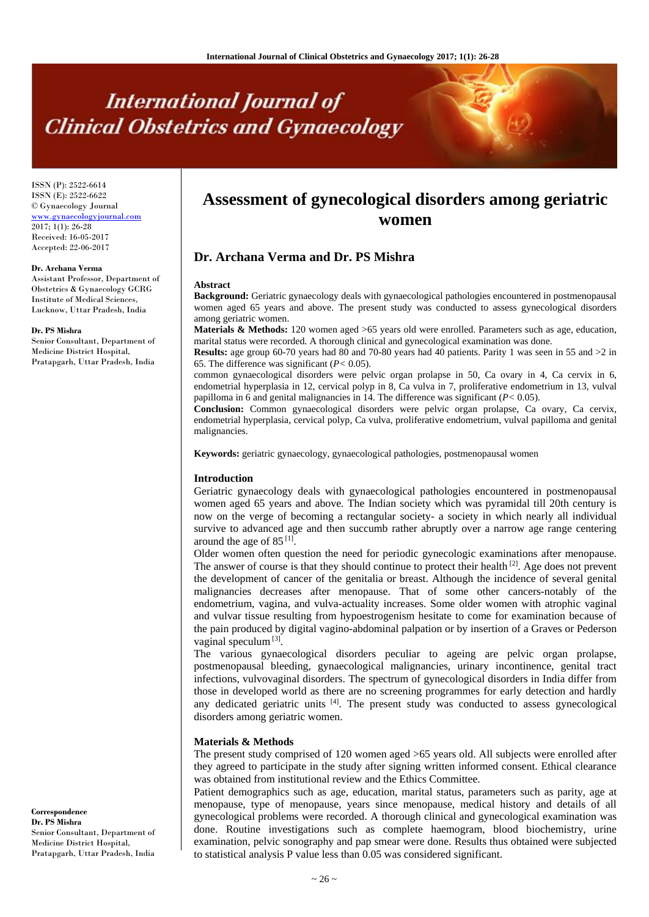# **International Journal of Clinical Obstetrics and Gynaecology**

ISSN (P): 2522-6614 ISSN (E): 2522-6622 © Gynaecology Journal <www.gynaecologyjournal.com>  $2017; 1(1): 26-28$ Received: 16-05-2017 Accepted: 22-06-2017

#### **Dr. Archana Verma**

Assistant Professor, Department of Obstetrics & Gynaecology GCRG Institute of Medical Sciences, Lucknow, Uttar Pradesh, India

#### **Dr. PS Mishra**

Senior Consultant, Department of Medicine District Hospital, Pratapgarh, Uttar Pradesh, India

**Assessment of gynecological disorders among geriatric women**

# **Dr. Archana Verma and Dr. PS Mishra**

#### **Abstract**

**Background:** Geriatric gynaecology deals with gynaecological pathologies encountered in postmenopausal women aged 65 years and above. The present study was conducted to assess gynecological disorders among geriatric women.

**Materials & Methods:** 120 women aged >65 years old were enrolled. Parameters such as age, education, marital status were recorded. A thorough clinical and gynecological examination was done.

**Results:** age group 60-70 years had 80 and 70-80 years had 40 patients. Parity 1 was seen in 55 and >2 in 65. The difference was significant (*P<* 0.05).

common gynaecological disorders were pelvic organ prolapse in 50, Ca ovary in 4, Ca cervix in 6, endometrial hyperplasia in 12, cervical polyp in 8, Ca vulva in 7, proliferative endometrium in 13, vulval papilloma in 6 and genital malignancies in 14. The difference was significant (*P<* 0.05).

**Conclusion:** Common gynaecological disorders were pelvic organ prolapse, Ca ovary, Ca cervix, endometrial hyperplasia, cervical polyp, Ca vulva, proliferative endometrium, vulval papilloma and genital malignancies.

**Keywords:** geriatric gynaecology, gynaecological pathologies, postmenopausal women

#### **Introduction**

Geriatric gynaecology deals with gynaecological pathologies encountered in postmenopausal women aged 65 years and above. The Indian society which was pyramidal till 20th century is now on the verge of becoming a rectangular society- a society in which nearly all individual survive to advanced age and then succumb rather abruptly over a narrow age range centering around the age of 85<sup>[1]</sup>.

Older women often question the need for periodic gynecologic examinations after menopause. The answer of course is that they should continue to protect their health <sup>[2]</sup>. Age does not prevent the development of cancer of the genitalia or breast. Although the incidence of several genital malignancies decreases after menopause. That of some other cancers-notably of the endometrium, vagina, and vulva-actuality increases. Some older women with atrophic vaginal and vulvar tissue resulting from hypoestrogenism hesitate to come for examination because of the pain produced by digital vagino-abdominal palpation or by insertion of a Graves or Pederson vaginal speculum<sup>[3]</sup>.

The various gynaecological disorders peculiar to ageing are pelvic organ prolapse, postmenopausal bleeding, gynaecological malignancies, urinary incontinence, genital tract infections, vulvovaginal disorders. The spectrum of gynecological disorders in India differ from those in developed world as there are no screening programmes for early detection and hardly any dedicated geriatric units [4] . The present study was conducted to assess gynecological disorders among geriatric women.

#### **Materials & Methods**

The present study comprised of 120 women aged >65 years old. All subjects were enrolled after they agreed to participate in the study after signing written informed consent. Ethical clearance was obtained from institutional review and the Ethics Committee.

Patient demographics such as age, education, marital status, parameters such as parity, age at menopause, type of menopause, years since menopause, medical history and details of all gynecological problems were recorded. A thorough clinical and gynecological examination was done. Routine investigations such as complete haemogram, blood biochemistry, urine examination, pelvic sonography and pap smear were done. Results thus obtained were subjected to statistical analysis P value less than 0.05 was considered significant.

**Correspondence Dr. PS Mishra** Senior Consultant, Department of Medicine District Hospital, Pratapgarh, Uttar Pradesh, India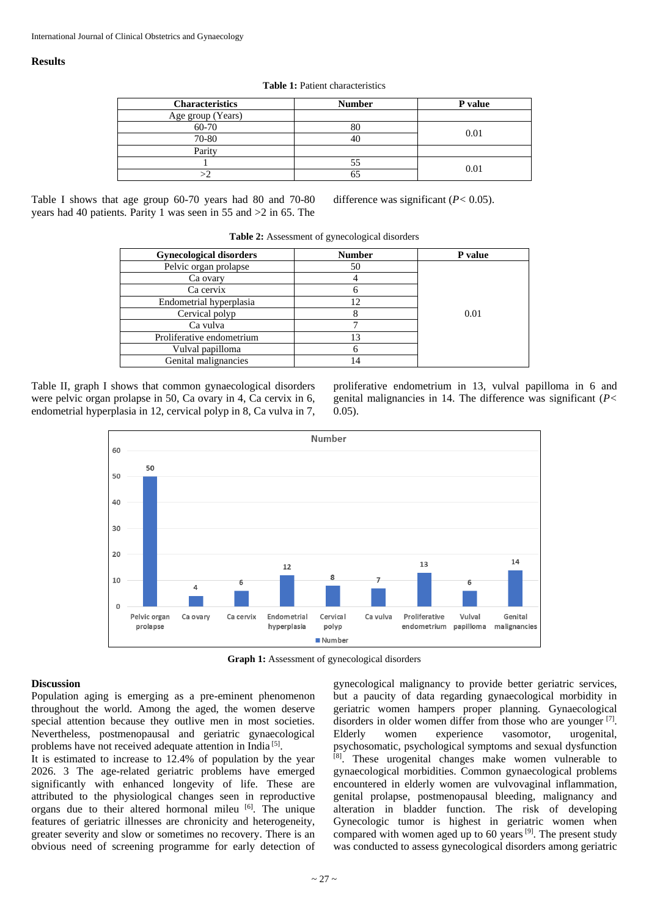## **Results**

**Table 1:** Patient characteristics

| <b>Characteristics</b> | <b>Number</b> | P value |
|------------------------|---------------|---------|
| Age group (Years)      |               |         |
| 60-70                  |               | 0.01    |
| 70-80                  |               |         |
| Parity                 |               |         |
|                        |               | 0.01    |
|                        |               |         |

Table I shows that age group 60-70 years had 80 and 70-80 years had 40 patients. Parity 1 was seen in 55 and >2 in 65. The

difference was significant (*P<* 0.05).

| <b>Gynecological disorders</b> | <b>Number</b> | P value |
|--------------------------------|---------------|---------|
| Pelvic organ prolapse          | 50            |         |
| Ca ovary                       |               |         |
| Ca cervix                      |               |         |
| Endometrial hyperplasia        | 12            |         |
| Cervical polyp                 |               | 0.01    |
| Ca vulva                       |               |         |
| Proliferative endometrium      | 13            |         |
| Vulval papilloma               |               |         |
| Genital malignancies           | 14            |         |

**Table 2:** Assessment of gynecological disorders

Table II, graph I shows that common gynaecological disorders were pelvic organ prolapse in 50, Ca ovary in 4, Ca cervix in 6, endometrial hyperplasia in 12, cervical polyp in 8, Ca vulva in 7, proliferative endometrium in 13, vulval papilloma in 6 and genital malignancies in 14. The difference was significant (*P<* 0.05).



**Graph 1:** Assessment of gynecological disorders

## **Discussion**

Population aging is emerging as a pre-eminent phenomenon throughout the world. Among the aged, the women deserve special attention because they outlive men in most societies. Nevertheless, postmenopausal and geriatric gynaecological problems have not received adequate attention in India<sup>[5]</sup>.

It is estimated to increase to 12.4% of population by the year 2026. 3 The age-related geriatric problems have emerged significantly with enhanced longevity of life. These are attributed to the physiological changes seen in reproductive organs due to their altered hormonal mileu [6]. The unique features of geriatric illnesses are chronicity and heterogeneity, greater severity and slow or sometimes no recovery. There is an obvious need of screening programme for early detection of

gynecological malignancy to provide better geriatric services, but a paucity of data regarding gynaecological morbidity in geriatric women hampers proper planning. Gynaecological disorders in older women differ from those who are younger  $[7]$ . Elderly women experience vasomotor, urogenital, psychosomatic, psychological symptoms and sexual dysfunction [8] . These urogenital changes make women vulnerable to gynaecological morbidities. Common gynaecological problems encountered in elderly women are vulvovaginal inflammation, genital prolapse, postmenopausal bleeding, malignancy and alteration in bladder function. The risk of developing Gynecologic tumor is highest in geriatric women when compared with women aged up to 60 years<sup>[9]</sup>. The present study was conducted to assess gynecological disorders among geriatric